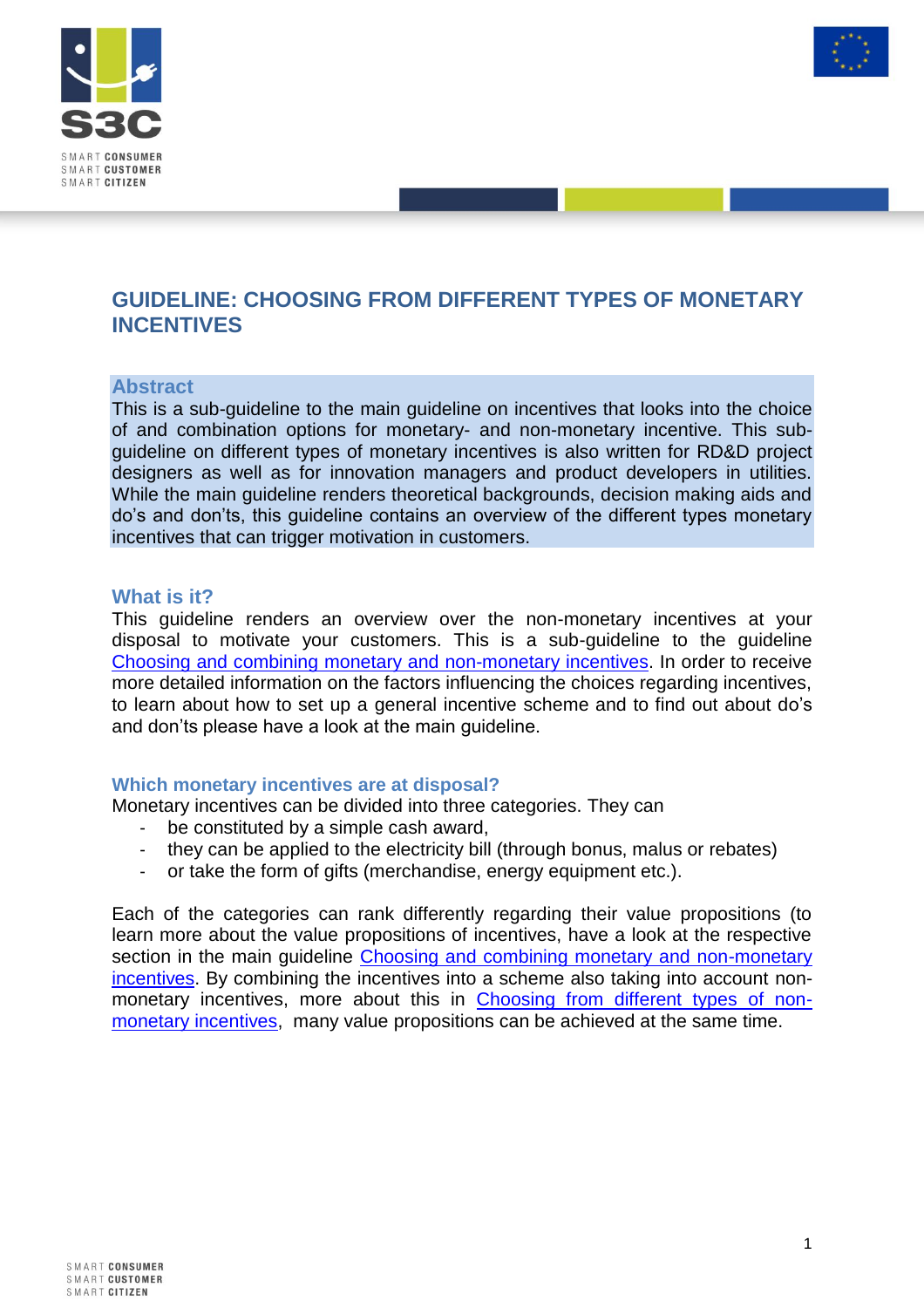



# **GUIDELINE: CHOOSING FROM DIFFERENT TYPES OF MONETARY INCENTIVES**

### **Abstract**

This is a sub-guideline to the main guideline on incentives that looks into the choice of and combination options for monetary- and non-monetary incentive. This subguideline on different types of monetary incentives is also written for RD&D project designers as well as for innovation managers and product developers in utilities. While the main guideline renders theoretical backgrounds, decision making aids and do's and don'ts, this guideline contains an overview of the different types monetary incentives that can trigger motivation in customers.

### **What is it?**

This guideline renders an overview over the non-monetary incentives at your disposal to motivate your customers. This is a sub-guideline to the guideline [Choosing and combining monetary and non-monetary incentives.](http://www.smartgrid-engagement-toolkit.eu/fileadmin/s3ctoolkit/user/guidelines/GUIDELINE_CHOOSING_AND_COMBINING_MONETARY_AND_NON-MONETARY_INCENTIVES.pdf) In order to receive more detailed information on the factors influencing the choices regarding incentives, to learn about how to set up a general incentive scheme and to find out about do's and don'ts please have a look at the main guideline.

### **Which monetary incentives are at disposal?**

Monetary incentives can be divided into three categories. They can

- be constituted by a simple cash award,
- they can be applied to the electricity bill (through bonus, malus or rebates)
- or take the form of gifts (merchandise, energy equipment etc.).

Each of the categories can rank differently regarding their value propositions (to learn more about the value propositions of incentives, have a look at the respective section in the main guideline Choosing and combining monetary and non-monetary [incentives.](http://www.smartgrid-engagement-toolkit.eu/fileadmin/s3ctoolkit/user/guidelines/GUIDELINE_CHOOSING_AND_COMBINING_MONETARY_AND_NON-MONETARY_INCENTIVES.pdf) By combining the incentives into a scheme also taking into account nonmonetary incentives, more about this in [Choosing from different types of non](http://www.smartgrid-engagement-toolkit.eu/fileadmin/s3ctoolkit/user/guidelines/GUIDELINE_CHOOSING_FROM_DIFFERENT_TYPES_OF_NON-MONETARY_INCENTIVES.pdf)[monetary incentives,](http://www.smartgrid-engagement-toolkit.eu/fileadmin/s3ctoolkit/user/guidelines/GUIDELINE_CHOOSING_FROM_DIFFERENT_TYPES_OF_NON-MONETARY_INCENTIVES.pdf) many value propositions can be achieved at the same time.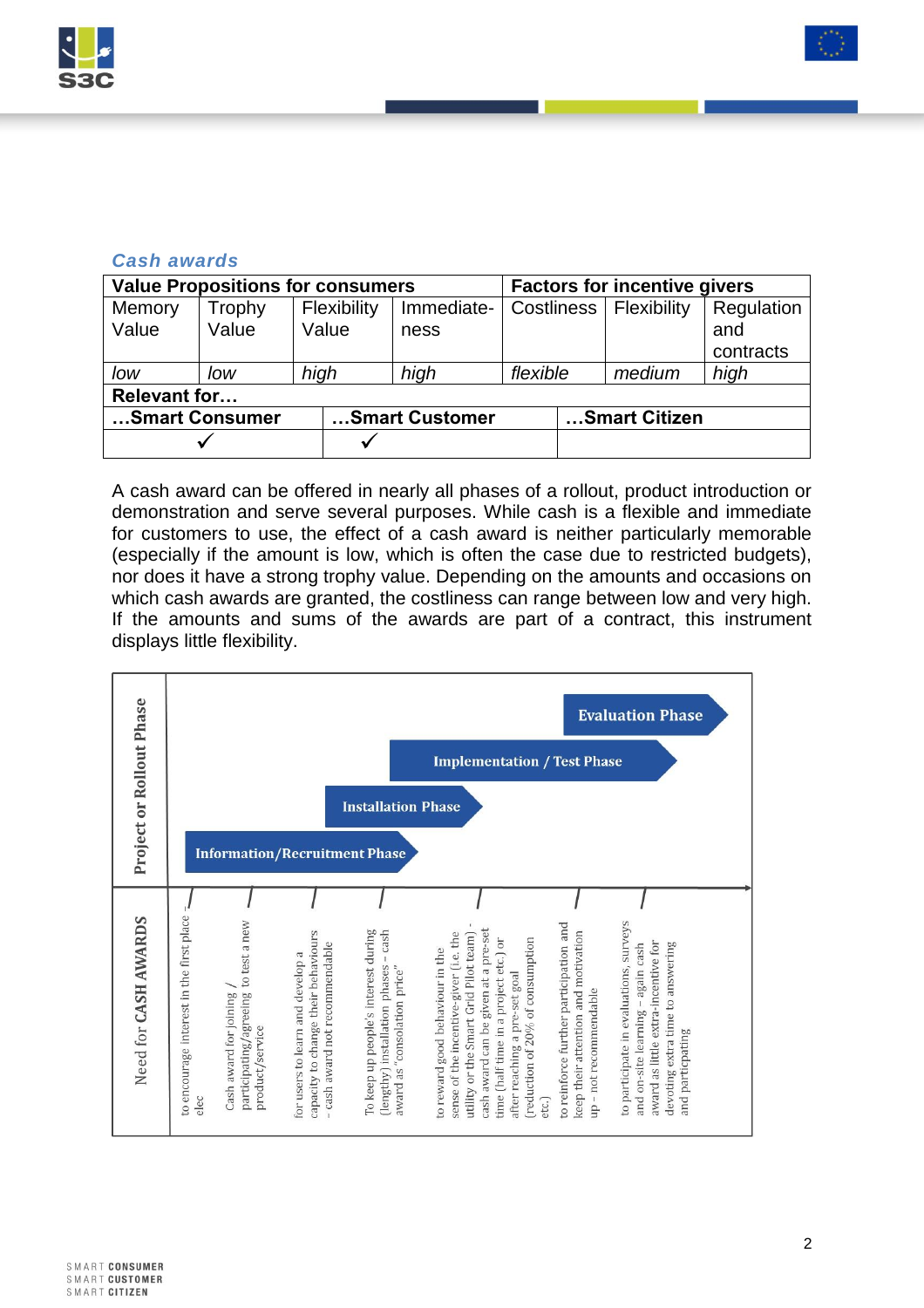



## *Cash awards*

| <b>Value Propositions for consumers</b> |        |             |                |            | <b>Factors for incentive givers</b> |  |        |            |  |
|-----------------------------------------|--------|-------------|----------------|------------|-------------------------------------|--|--------|------------|--|
| Memory                                  | Trophy | Flexibility |                | Immediate- | Costliness   Flexibility            |  |        | Regulation |  |
| Value                                   | Value  | Value       |                | ness       |                                     |  |        | and        |  |
|                                         |        |             |                |            |                                     |  |        | contracts  |  |
| low                                     | low    | high        |                | high       | flexible                            |  | medium | high       |  |
| <b>Relevant for</b>                     |        |             |                |            |                                     |  |        |            |  |
| Smart Consumer                          |        |             | Smart Customer |            | Smart Citizen                       |  |        |            |  |
|                                         |        |             |                |            |                                     |  |        |            |  |

A cash award can be offered in nearly all phases of a rollout, product introduction or demonstration and serve several purposes. While cash is a flexible and immediate for customers to use, the effect of a cash award is neither particularly memorable (especially if the amount is low, which is often the case due to restricted budgets), nor does it have a strong trophy value. Depending on the amounts and occasions on which cash awards are granted, the costliness can range between low and very high. If the amounts and sums of the awards are part of a contract, this instrument displays little flexibility.

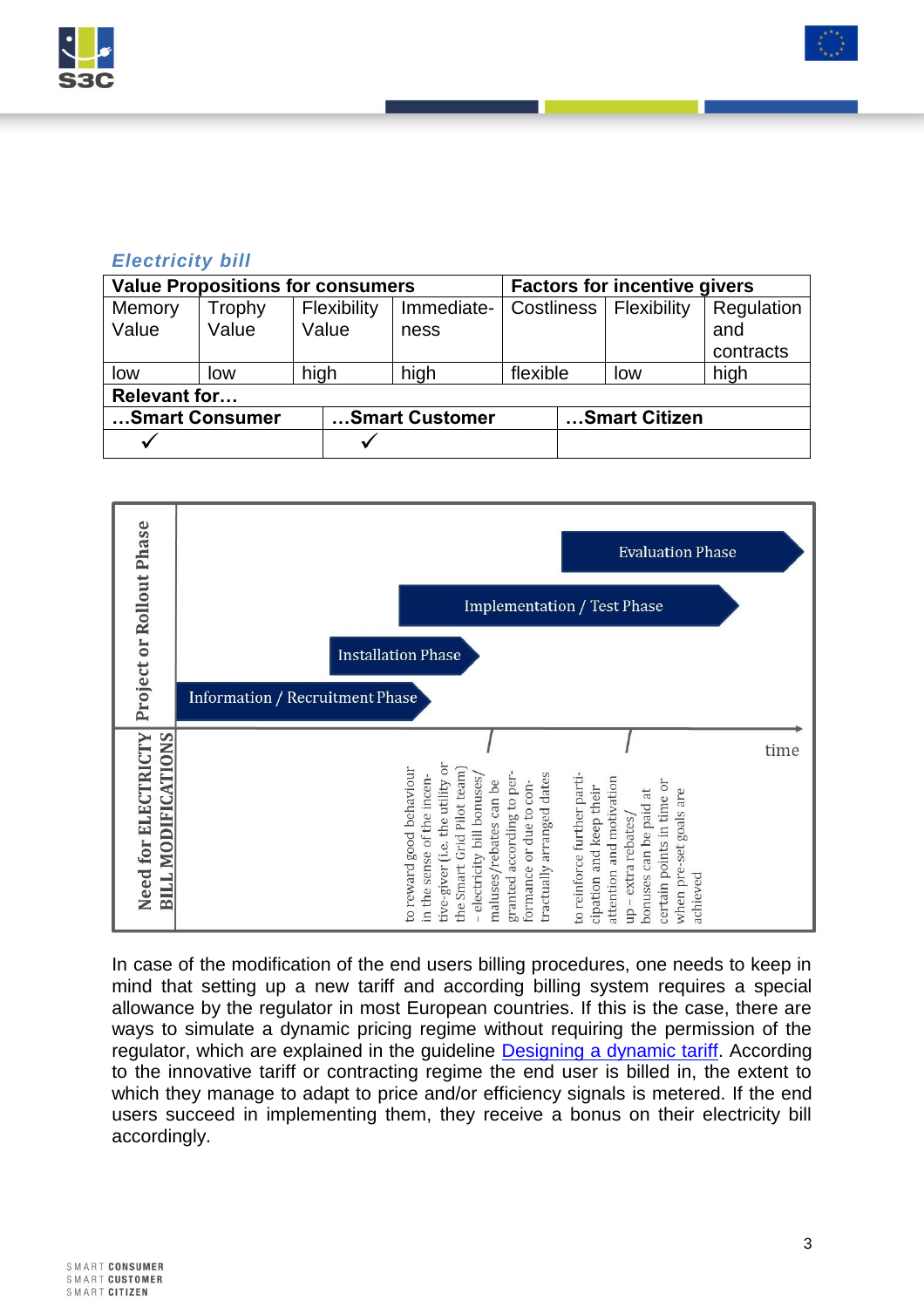



# *Electricity bill*

| <b>Value Propositions for consumers</b> |        |             |                |            | <b>Factors for incentive givers</b> |  |     |            |  |
|-----------------------------------------|--------|-------------|----------------|------------|-------------------------------------|--|-----|------------|--|
| Memory                                  | Trophy | Flexibility |                | Immediate- | Costliness   Flexibility            |  |     | Regulation |  |
| Value                                   | Value  | Value       |                | ness       |                                     |  |     | and        |  |
|                                         |        |             |                |            |                                     |  |     | contracts  |  |
| low                                     | low    | high        |                | high       | flexible                            |  | low | high       |  |
| <b>Relevant for</b>                     |        |             |                |            |                                     |  |     |            |  |
| Smart Consumer                          |        |             | Smart Customer |            | Smart Citizen                       |  |     |            |  |
| ✔                                       |        |             |                |            |                                     |  |     |            |  |



In case of the modification of the end users billing procedures, one needs to keep in mind that setting up a new tariff and according billing system requires a special allowance by the regulator in most European countries. If this is the case, there are ways to simulate a dynamic pricing regime without requiring the permission of the regulator, which are explained in the guideline [Designing a dynamic tariff.](http://www.smartgrid-engagement-toolkit.eu/fileadmin/s3ctoolkit/user/guidelines/GUIDELINE_DESIGNING_A_DYNAMIC_TARIFF.pdf) According to the innovative tariff or contracting regime the end user is billed in, the extent to which they manage to adapt to price and/or efficiency signals is metered. If the end users succeed in implementing them, they receive a bonus on their electricity bill accordingly.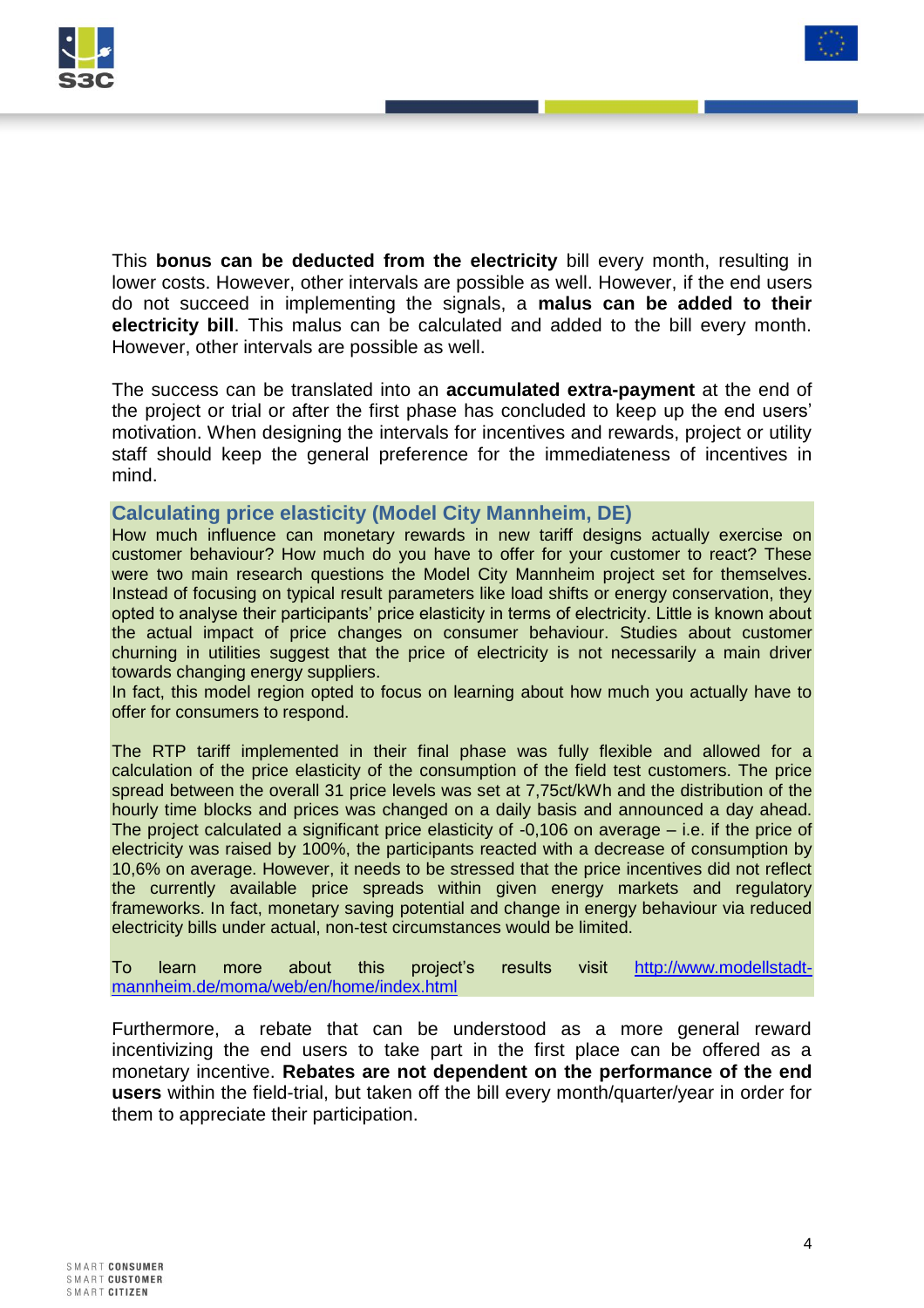



This **bonus can be deducted from the electricity** bill every month, resulting in lower costs. However, other intervals are possible as well. However, if the end users do not succeed in implementing the signals, a **malus can be added to their electricity bill**. This malus can be calculated and added to the bill every month. However, other intervals are possible as well.

The success can be translated into an **accumulated extra-payment** at the end of the project or trial or after the first phase has concluded to keep up the end users' motivation. When designing the intervals for incentives and rewards, project or utility staff should keep the general preference for the immediateness of incentives in mind.

### **Calculating price elasticity (Model City Mannheim, DE)**

How much influence can monetary rewards in new tariff designs actually exercise on customer behaviour? How much do you have to offer for your customer to react? These were two main research questions the Model City Mannheim project set for themselves. Instead of focusing on typical result parameters like load shifts or energy conservation, they opted to analyse their participants' price elasticity in terms of electricity. Little is known about the actual impact of price changes on consumer behaviour. Studies about customer churning in utilities suggest that the price of electricity is not necessarily a main driver towards changing energy suppliers.

In fact, this model region opted to focus on learning about how much you actually have to offer for consumers to respond.

The RTP tariff implemented in their final phase was fully flexible and allowed for a calculation of the price elasticity of the consumption of the field test customers. The price spread between the overall 31 price levels was set at 7,75ct/kWh and the distribution of the hourly time blocks and prices was changed on a daily basis and announced a day ahead. The project calculated a significant price elasticity of -0,106 on average – i.e. if the price of electricity was raised by 100%, the participants reacted with a decrease of consumption by 10,6% on average. However, it needs to be stressed that the price incentives did not reflect the currently available price spreads within given energy markets and regulatory frameworks. In fact, monetary saving potential and change in energy behaviour via reduced electricity bills under actual, non-test circumstances would be limited.

To learn more about this project's results visit [http://www.modellstadt](http://www.modellstadt-mannheim.de/moma/web/en/home/index.html)[mannheim.de/moma/web/en/home/index.html](http://www.modellstadt-mannheim.de/moma/web/en/home/index.html)

Furthermore, a rebate that can be understood as a more general reward incentivizing the end users to take part in the first place can be offered as a monetary incentive. **Rebates are not dependent on the performance of the end users** within the field-trial, but taken off the bill every month/quarter/year in order for them to appreciate their participation.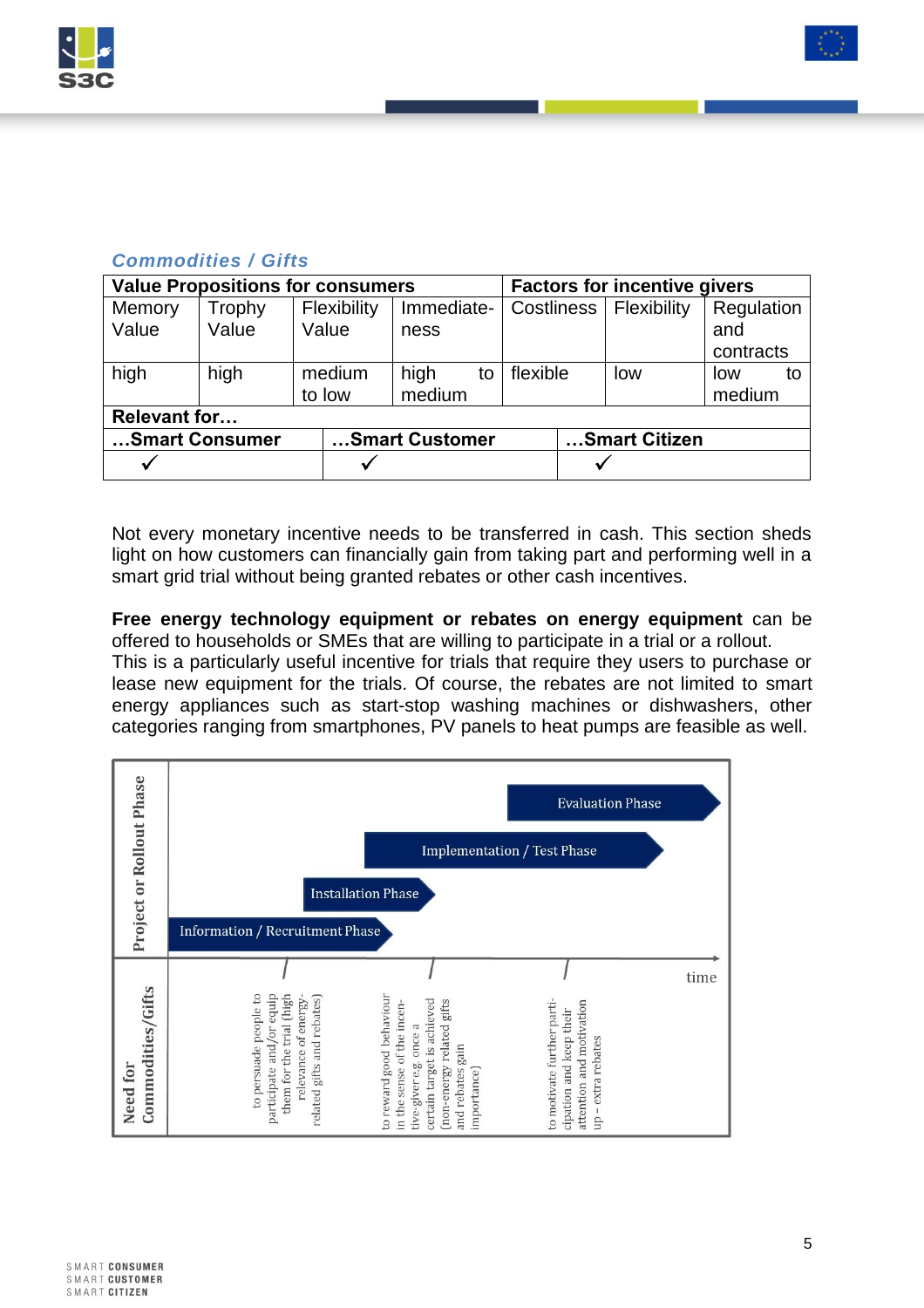



# *Commodities / Gifts*

| <b>Value Propositions for consumers</b> |        |             |                |            |    | <b>Factors for incentive givers</b> |               |     |            |    |
|-----------------------------------------|--------|-------------|----------------|------------|----|-------------------------------------|---------------|-----|------------|----|
| Memory                                  | Trophy | Flexibility |                | Immediate- |    | Costliness   Flexibility            |               |     | Regulation |    |
| Value                                   | Value  | Value       |                | ness       |    |                                     |               |     | and        |    |
|                                         |        |             |                |            |    |                                     |               |     | contracts  |    |
| high                                    | high   | medium      |                | high       | to | flexible                            |               | low | low        | to |
|                                         |        | to low      |                | medium     |    |                                     |               |     | medium     |    |
| <b>Relevant for</b>                     |        |             |                |            |    |                                     |               |     |            |    |
| Smart Consumer                          |        |             | Smart Customer |            |    |                                     | Smart Citizen |     |            |    |
| ✓                                       |        |             |                |            |    |                                     | √             |     |            |    |

Not every monetary incentive needs to be transferred in cash. This section sheds light on how customers can financially gain from taking part and performing well in a smart grid trial without being granted rebates or other cash incentives.

**Free energy technology equipment or rebates on energy equipment** can be offered to households or SMEs that are willing to participate in a trial or a rollout. This is a particularly useful incentive for trials that require they users to purchase or lease new equipment for the trials. Of course, the rebates are not limited to smart energy appliances such as start-stop washing machines or dishwashers, other categories ranging from smartphones, PV panels to heat pumps are feasible as well.

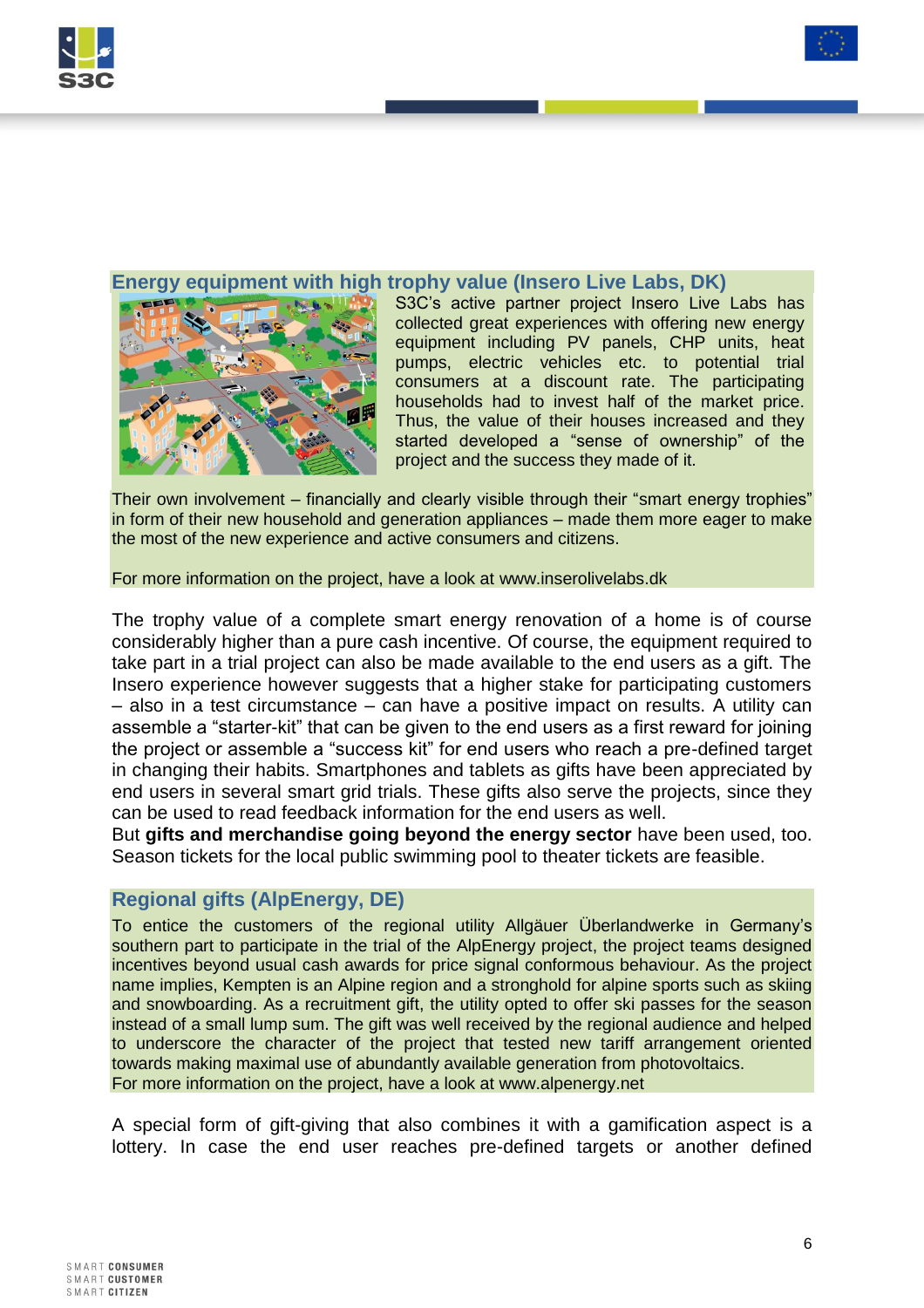



### **Energy equipment with high trophy value (Insero Live Labs, DK)**



S3C's active partner project Insero Live Labs has collected great experiences with offering new energy equipment including PV panels, CHP units, heat pumps, electric vehicles etc. to potential trial consumers at a discount rate. The participating households had to invest half of the market price. Thus, the value of their houses increased and they started developed a "sense of ownership" of the project and the success they made of it.

Their own involvement – financially and clearly visible through their "smart energy trophies" in form of their new household and generation appliances – made them more eager to make the most of the new experience and active consumers and citizens.

For more information on the project, have a look at [www.inserolivelabs.dk](http://www.inserolivelabs.dk/) 

The trophy value of a complete smart energy renovation of a home is of course considerably higher than a pure cash incentive. Of course, the equipment required to take part in a trial project can also be made available to the end users as a gift. The Insero experience however suggests that a higher stake for participating customers – also in a test circumstance – can have a positive impact on results. A utility can assemble a "starter-kit" that can be given to the end users as a first reward for joining the project or assemble a "success kit" for end users who reach a pre-defined target in changing their habits. Smartphones and tablets as gifts have been appreciated by end users in several smart grid trials. These gifts also serve the projects, since they can be used to read feedback information for the end users as well.

But **gifts and merchandise going beyond the energy sector** have been used, too. Season tickets for the local public swimming pool to theater tickets are feasible.

### **Regional gifts (AlpEnergy, DE)**

To entice the customers of the regional utility Allgäuer Überlandwerke in Germany's southern part to participate in the trial of the AlpEnergy project, the project teams designed incentives beyond usual cash awards for price signal conformous behaviour. As the project name implies, Kempten is an Alpine region and a stronghold for alpine sports such as skiing and snowboarding. As a recruitment gift, the utility opted to offer ski passes for the season instead of a small lump sum. The gift was well received by the regional audience and helped to underscore the character of the project that tested new tariff arrangement oriented towards making maximal use of abundantly available generation from photovoltaics. For more information on the project, have a look at www.alpenergy.net

A special form of gift-giving that also combines it with a gamification aspect is a lottery. In case the end user reaches pre-defined targets or another defined